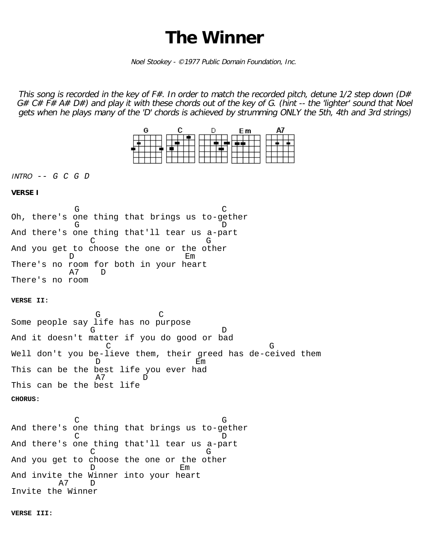## **The Winner**

Noel Stookey - ©1977 Public Domain Foundation, Inc.

This song is recorded in the key of  $F#$ . In order to match the recorded pitch, detune 1/2 step down ( $D#$  $G# C# F# A# D#$ ) and play it with these chords out of the key of G. (hint -- the 'lighter' sound that Noel gets when he plays many of the 'D' chords is achieved by strumming ONLY the 5th, 4th and 3rd strings)



INTRO *-- G C G D*

## **VERSE I**

 $G$  contracts and  $G$ Oh, there's one thing that brings us to-gether G D And there's one thing that'll tear us a-part en de la component de la component de la component de la component de la component de la component de la compo<br>Component de la component de la component de la component de la component de la component de la component de l And you get to choose the one or the other D Em There's no room for both in your heart A7 D There's no room

**VERSE II:**

 $G$  contracts to  $G$ Some people say life has no purpose G D And it doesn't matter if you do good or bad en de la component de la component de la component de la component de la component de la component de la compo Well don't you be-lieve them, their greed has de-ceived them D Em This can be the best life you ever had A7 D This can be the best life **CHORUS:**

e de la construction de la construction de la construction de la construction de la construction de la construction de la construction de la construction de la construction de la construction de la construction de la const And there's one thing that brings us to-gether C D And there's one thing that'll tear us a-part en de la component de la component de la component de la component de la component de la component de la compo<br>Component de la component de la component de la component de la component de la component de la component de l And you get to choose the one or the other D Em And invite the Winner into your heart A7 D Invite the Winner